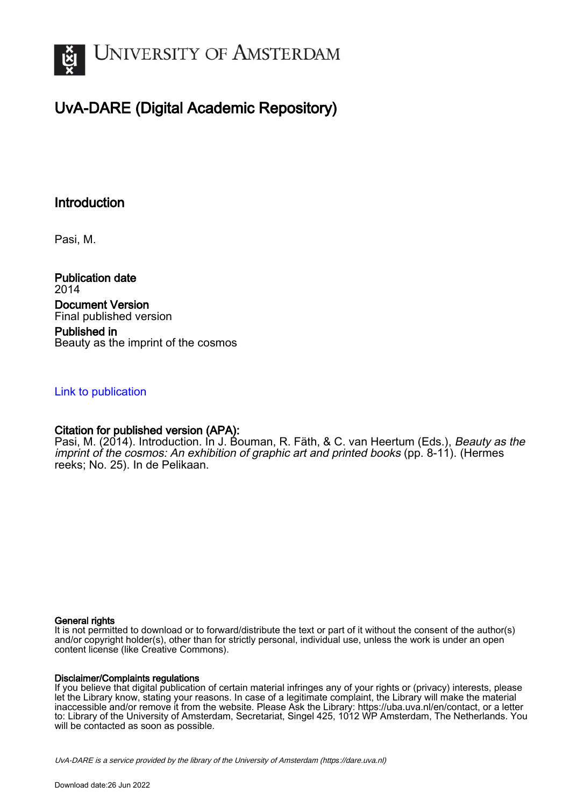

# UvA-DARE (Digital Academic Repository)

## **Introduction**

Pasi, M.

Publication date 2014 Document Version Final published version

Published in Beauty as the imprint of the cosmos

## [Link to publication](https://dare.uva.nl/personal/pure/en/publications/introduction(30c564b2-6b2b-4095-830f-105885bdf8c6).html)

## Citation for published version (APA):

Pasi, M. (2014). Introduction. In J. Bouman, R. Fäth, & C. van Heertum (Eds.), Beauty as the imprint of the cosmos: An exhibition of graphic art and printed books (pp. 8-11). (Hermes reeks; No. 25). In de Pelikaan.

### General rights

It is not permitted to download or to forward/distribute the text or part of it without the consent of the author(s) and/or copyright holder(s), other than for strictly personal, individual use, unless the work is under an open content license (like Creative Commons).

### Disclaimer/Complaints regulations

If you believe that digital publication of certain material infringes any of your rights or (privacy) interests, please let the Library know, stating your reasons. In case of a legitimate complaint, the Library will make the material inaccessible and/or remove it from the website. Please Ask the Library: https://uba.uva.nl/en/contact, or a letter to: Library of the University of Amsterdam, Secretariat, Singel 425, 1012 WP Amsterdam, The Netherlands. You will be contacted as soon as possible.

UvA-DARE is a service provided by the library of the University of Amsterdam (http*s*://dare.uva.nl)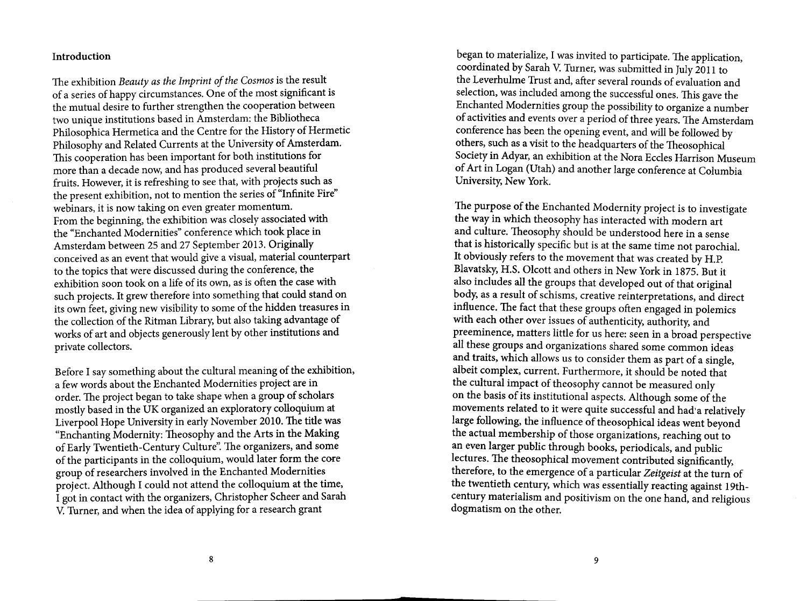#### Introduction

The exhibition Beauty as the Imprint of the Cosmos is the result of a series of happy circumstances. One of the most significant is the mutual desire to further strengthen the cooperation between two unique institutions based in Amsterdam: the Bibliotheca Philosophica Hermetica and the Centre for the History of Hermetic Philosophy and Related Currents at the University of Amsterdam. This cooperation has been important for both institutions for more than a decade now, and has produced several beautiful fruits. However, it is refreshing to see that, with projects such as the present exhibition, not to mention the series of "Infinite Fire" webinars, it is now taking on even greater momentum. From the beginning, the exhibition was closely associated with the "Enchanted Modernities" conference which took place in Amsterdam between 25 and 27 September 2013. Originally conceived as an event that would give a visual, material counterpart to the topics that were discussed during the conference, the exhibition soon took on a life of its own, as is often the case with such projects. It grew therefore into something that could stand on its own feet, giving new visibility to some of the hidden treasures in the collection of the Ritman Library, but also taking advantage of works of art and objects generously lent by other institutions and private collectors.

Before I say something about the cultural meaning of the exhibition, a few words about the Enchanted Modernities project are in order. The project began to take shape when a group of scholars mostly based in the UK organized an exploratory colloquium at Liverpool Hope University in early November 2010. The title was "Enchanting Modernity: Theosophy and the Arts in the Making of Early Twentieth-Century Culture". The organizers, and some of the participants in the colloquium, would later form the core group of researchers involved in the Enchanted Modernities project. Although I could not attend the colloquium at the time, I got in contact with the organizers, Christopher Scheer and Sarah V. Turner, and when the idea of applying for a research grant

began to materialize, I was invited to participate. The application, coordinated by Sarah V. Turner, was submitted in July 2011 to the Leverhulme Trust and, after several rounds of evaluation and selection, was included among the successful ones. This gave the Enchanted Modernities group the possibility to organize a number of activities and events over a period of three years. The Amsterdam conference has been the opening event, and will be followed by others, such as a visit to the headquarters of the Theosophical Society in Advar, an exhibition at the Nora Eccles Harrison Museum of Art in Logan (Utah) and another large conference at Columbia University, New York.

The purpose of the Enchanted Modernity project is to investigate the way in which theosophy has interacted with modern art and culture. Theosophy should be understood here in a sense that is historically specific but is at the same time not parochial. It obviously refers to the movement that was created by H.P. Blavatsky, H.S. Olcott and others in New York in 1875. But it also includes all the groups that developed out of that original body, as a result of schisms, creative reinterpretations, and direct influence. The fact that these groups often engaged in polemics with each other over issues of authenticity, authority, and preeminence, matters little for us here: seen in a broad perspective all these groups and organizations shared some common ideas and traits, which allows us to consider them as part of a single, albeit complex, current. Furthermore, it should be noted that the cultural impact of theosophy cannot be measured only on the basis of its institutional aspects. Although some of the movements related to it were quite successful and had a relatively large following, the influence of theosophical ideas went beyond the actual membership of those organizations, reaching out to an even larger public through books, periodicals, and public lectures. The theosophical movement contributed significantly, therefore, to the emergence of a particular Zeitgeist at the turn of the twentieth century, which was essentially reacting against 19thcentury materialism and positivism on the one hand, and religious dogmatism on the other.